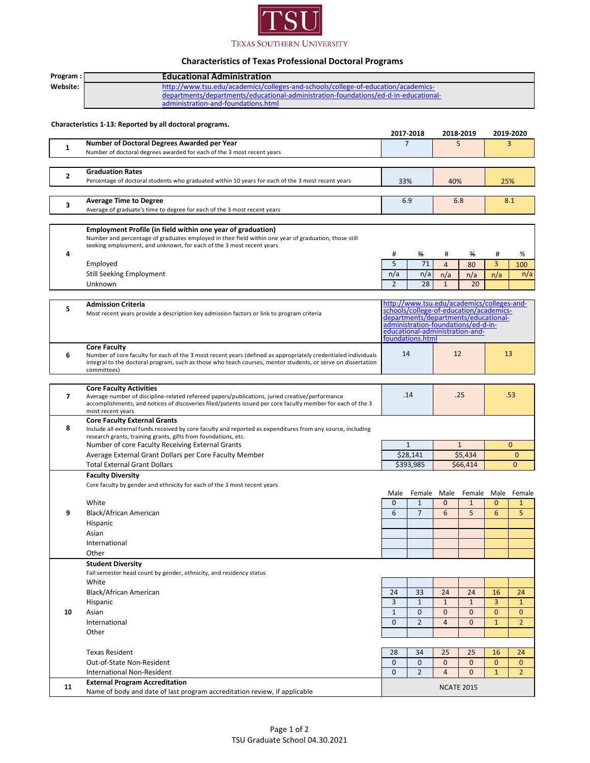

## **Characteristics of Texas Professional Doctoral Programs**

| Program:       | <b>Educational Administration</b>                                                                                                                                                                                                                                   |                                                                                                                                                                                                                             |                                     |                               |                          |                              |                                |  |
|----------------|---------------------------------------------------------------------------------------------------------------------------------------------------------------------------------------------------------------------------------------------------------------------|-----------------------------------------------------------------------------------------------------------------------------------------------------------------------------------------------------------------------------|-------------------------------------|-------------------------------|--------------------------|------------------------------|--------------------------------|--|
| Website:       | http://www.tsu.edu/academics/colleges-and-schools/college-of-education/academics-                                                                                                                                                                                   |                                                                                                                                                                                                                             |                                     |                               |                          |                              |                                |  |
|                | departments/departments/educational-administration-foundations/ed-d-in-educational-<br>administration-and-foundations.html                                                                                                                                          |                                                                                                                                                                                                                             |                                     |                               |                          |                              |                                |  |
|                | Characteristics 1-13: Reported by all doctoral programs.                                                                                                                                                                                                            |                                                                                                                                                                                                                             | 2017 2018                           | 2018-2019                     |                          | 2019-2020                    |                                |  |
|                | Number of Doctoral Degrees Awarded per Year                                                                                                                                                                                                                         | $\overline{7}$                                                                                                                                                                                                              |                                     | 5                             |                          |                              | 3                              |  |
| 1              | Number of doctoral degrees awarded for each of the 3 most recent years                                                                                                                                                                                              |                                                                                                                                                                                                                             |                                     |                               |                          |                              |                                |  |
|                | <b>Graduation Rates</b>                                                                                                                                                                                                                                             |                                                                                                                                                                                                                             |                                     |                               |                          |                              |                                |  |
| 2              | Percentage of doctoral students who graduated within 10 years for each of the 3 most recent years                                                                                                                                                                   | 33%<br>40%                                                                                                                                                                                                                  |                                     |                               | 25%                      |                              |                                |  |
| 3              | <b>Average Time to Degree</b>                                                                                                                                                                                                                                       | 6.9<br>6.8                                                                                                                                                                                                                  |                                     |                               |                          | 8.1                          |                                |  |
|                | Average of graduate's time to degree for each of the 3 most recent years                                                                                                                                                                                            |                                                                                                                                                                                                                             |                                     |                               |                          |                              |                                |  |
| 4              | <b>Employment Profile (in field within one year of graduation)</b><br>Number and percentage of graduates employed in their field within one year of graduation, those still<br>seeking employment, and unknown, for each of the 3 most recent years                 | #                                                                                                                                                                                                                           | ₩                                   | #                             | ₩                        | #                            | %                              |  |
|                | Employed                                                                                                                                                                                                                                                            | 5                                                                                                                                                                                                                           | 71                                  | $\overline{4}$                | 80                       | 3                            | 100                            |  |
|                | <b>Still Seeking Employment</b>                                                                                                                                                                                                                                     | n/a                                                                                                                                                                                                                         | n/a                                 | n/a                           | n/a                      | n/a                          | n/a                            |  |
|                | Unknown                                                                                                                                                                                                                                                             | $\overline{2}$                                                                                                                                                                                                              | 28                                  | $\mathbf{1}$                  | 20                       |                              |                                |  |
|                |                                                                                                                                                                                                                                                                     |                                                                                                                                                                                                                             |                                     |                               |                          |                              |                                |  |
| 5              | <b>Admission Criteria</b><br>Most recent years provide a description key admission factors or link to program criteria                                                                                                                                              | http://www.tsu.edu/academics/colleges-and-<br>schools/college-of-education/academics-<br>departments/departments/educational-<br>administration-foundations/ed-d-in-<br>educational-administration-and-<br>foundations.html |                                     |                               |                          |                              |                                |  |
| 6              | <b>Core Faculty</b><br>Number of core faculty for each of the 3 most recent years (defined as appropriately credentialed individuals<br>integral to the doctoral program, such as those who teach courses, mentor students, or serve on dissertation<br>committees) | 14                                                                                                                                                                                                                          |                                     | 12                            |                          | 13                           |                                |  |
|                |                                                                                                                                                                                                                                                                     |                                                                                                                                                                                                                             |                                     |                               |                          |                              |                                |  |
| $\overline{7}$ | <b>Core Faculty Activities</b><br>Average number of discipline-related refereed papers/publications, juried creative/performance<br>accomplishments, and notices of discoveries filed/patents issued per core faculty member for each of the 3<br>most recent years |                                                                                                                                                                                                                             | .14                                 | .25                           |                          | .53                          |                                |  |
| 8              | <b>Core Faculty External Grants</b><br>Include all external funds received by core faculty and reported as expenditures from any source, including<br>research grants, training grants, gifts from foundations, etc.                                                |                                                                                                                                                                                                                             |                                     |                               |                          |                              |                                |  |
|                | Number of core Faculty Receiving External Grants                                                                                                                                                                                                                    | $\mathbf{1}$<br>\$28,141<br>\$393.985                                                                                                                                                                                       |                                     | $\mathbf{1}$                  |                          | $\mathbf{0}$                 |                                |  |
|                | Average External Grant Dollars per Core Faculty Member<br><b>Total External Grant Dollars</b>                                                                                                                                                                       |                                                                                                                                                                                                                             |                                     | \$5,434<br>\$66,414           |                          | 0<br>$\Omega$                |                                |  |
|                | <b>Faculty Diversity</b>                                                                                                                                                                                                                                            |                                                                                                                                                                                                                             |                                     |                               |                          |                              |                                |  |
|                | Core faculty by gender and ethnicity for each of the 3 most recent years                                                                                                                                                                                            |                                                                                                                                                                                                                             |                                     |                               |                          |                              |                                |  |
|                |                                                                                                                                                                                                                                                                     |                                                                                                                                                                                                                             | Male Female Male Female Male Female |                               |                          |                              |                                |  |
|                | White                                                                                                                                                                                                                                                               | 0                                                                                                                                                                                                                           | 1                                   | 0                             | 1                        | 0                            | 1                              |  |
| 9              | Black/African American                                                                                                                                                                                                                                              | 6                                                                                                                                                                                                                           | $\overline{7}$                      | 6                             | 5                        | 6                            | 5                              |  |
|                | Hispanic<br>Asian                                                                                                                                                                                                                                                   |                                                                                                                                                                                                                             |                                     |                               |                          |                              |                                |  |
|                | International                                                                                                                                                                                                                                                       |                                                                                                                                                                                                                             |                                     |                               |                          |                              |                                |  |
|                | Other                                                                                                                                                                                                                                                               |                                                                                                                                                                                                                             |                                     |                               |                          |                              |                                |  |
|                | <b>Student Diversity</b>                                                                                                                                                                                                                                            |                                                                                                                                                                                                                             |                                     |                               |                          |                              |                                |  |
|                | Fall semester head count by gender, ethnicity, and residency status                                                                                                                                                                                                 |                                                                                                                                                                                                                             |                                     |                               |                          |                              |                                |  |
|                | White                                                                                                                                                                                                                                                               |                                                                                                                                                                                                                             |                                     |                               |                          |                              |                                |  |
|                | Black/African American                                                                                                                                                                                                                                              | 24                                                                                                                                                                                                                          | 33                                  | 24                            | 24                       | 16                           | 24                             |  |
|                | Hispanic                                                                                                                                                                                                                                                            | 3                                                                                                                                                                                                                           | $1\,$                               | $\mathbf{1}$                  | $\mathbf{1}$             | 3                            | $\mathbf{1}$                   |  |
| 10             | Asian<br>International                                                                                                                                                                                                                                              | $\mathbf{1}$<br>$\Omega$                                                                                                                                                                                                    | $\mathbf{0}$<br>$\overline{2}$      | $\mathbf 0$<br>$\overline{4}$ | $\mathbf{0}$<br>$\Omega$ | $\mathbf{0}$<br>$\mathbf{1}$ | $\mathbf{0}$<br>$\overline{2}$ |  |
|                | Other                                                                                                                                                                                                                                                               |                                                                                                                                                                                                                             |                                     |                               |                          |                              |                                |  |
|                |                                                                                                                                                                                                                                                                     |                                                                                                                                                                                                                             |                                     |                               |                          |                              |                                |  |
|                | <b>Texas Resident</b>                                                                                                                                                                                                                                               | 28                                                                                                                                                                                                                          | 34                                  | 25                            | 25                       | 16                           | 24                             |  |
|                | Out-of-State Non-Resident                                                                                                                                                                                                                                           | $\mathbf{0}$                                                                                                                                                                                                                | $\mathbf{0}$                        | $\mathbf{0}$                  | $\overline{0}$           | $\mathbf{0}$                 | $\mathbf{0}$                   |  |
|                | International Non-Resident                                                                                                                                                                                                                                          | $\mathbf{0}$                                                                                                                                                                                                                | $\overline{2}$                      | $\overline{4}$                | $\mathbf{0}$             | $\mathbf{1}$                 | $\overline{2}$                 |  |
| 11             | <b>External Program Accreditation</b><br>Name of body and date of last program accreditation review, if applicable                                                                                                                                                  |                                                                                                                                                                                                                             |                                     | <b>NCATE 2015</b>             |                          |                              |                                |  |